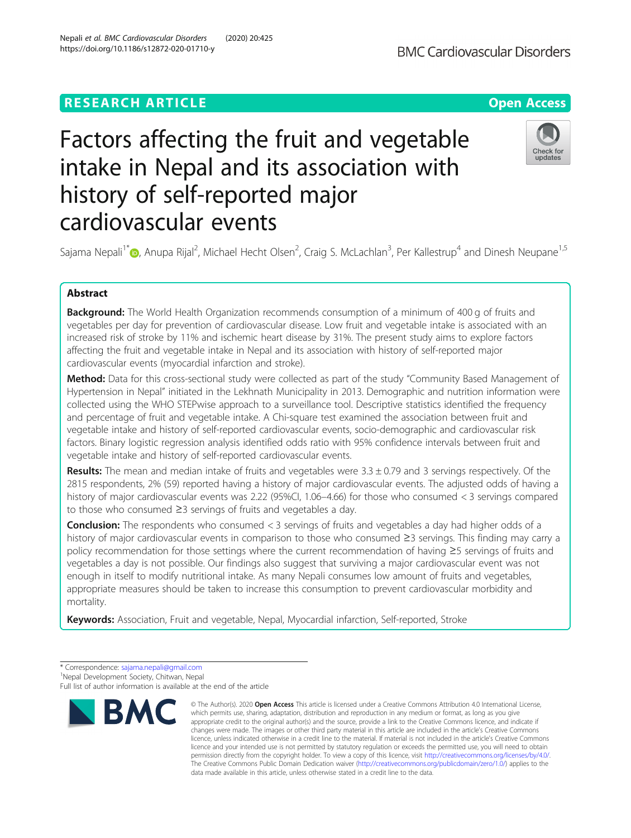# **RESEARCH ARTICLE Example 2014 12:30 The Contract of Contract ACCESS**

# Factors affecting the fruit and vegetable intake in Nepal and its association with history of self-reported major cardiovascular events

Sajama Nepali<sup>1[\\*](http://orcid.org/0000-0002-3432-667X)</sup>®, Anupa Rijal<sup>2</sup>, Michael Hecht Olsen<sup>2</sup>, Craig S. McLachlan<sup>3</sup>, Per Kallestrup<sup>4</sup> and Dinesh Neupane<sup>1,5</sup>

# Abstract

Background: The World Health Organization recommends consumption of a minimum of 400 g of fruits and vegetables per day for prevention of cardiovascular disease. Low fruit and vegetable intake is associated with an increased risk of stroke by 11% and ischemic heart disease by 31%. The present study aims to explore factors affecting the fruit and vegetable intake in Nepal and its association with history of self-reported major cardiovascular events (myocardial infarction and stroke).

**Method:** Data for this cross-sectional study were collected as part of the study "Community Based Management of Hypertension in Nepal" initiated in the Lekhnath Municipality in 2013. Demographic and nutrition information were collected using the WHO STEPwise approach to a surveillance tool. Descriptive statistics identified the frequency and percentage of fruit and vegetable intake. A Chi-square test examined the association between fruit and vegetable intake and history of self-reported cardiovascular events, socio-demographic and cardiovascular risk factors. Binary logistic regression analysis identified odds ratio with 95% confidence intervals between fruit and vegetable intake and history of self-reported cardiovascular events.

**Results:** The mean and median intake of fruits and vegetables were  $3.3 \pm 0.79$  and 3 servings respectively. Of the 2815 respondents, 2% (59) reported having a history of major cardiovascular events. The adjusted odds of having a history of major cardiovascular events was 2.22 (95%CI, 1.06–4.66) for those who consumed < 3 servings compared to those who consumed ≥3 servings of fruits and vegetables a day.

**Conclusion:** The respondents who consumed < 3 servings of fruits and vegetables a day had higher odds of a history of major cardiovascular events in comparison to those who consumed ≥3 servings. This finding may carry a policy recommendation for those settings where the current recommendation of having ≥5 servings of fruits and vegetables a day is not possible. Our findings also suggest that surviving a major cardiovascular event was not enough in itself to modify nutritional intake. As many Nepali consumes low amount of fruits and vegetables, appropriate measures should be taken to increase this consumption to prevent cardiovascular morbidity and mortality.

Keywords: Association, Fruit and vegetable, Nepal, Myocardial infarction, Self-reported, Stroke



© The Author(s), 2020 **Open Access** This article is licensed under a Creative Commons Attribution 4.0 International License,



<sup>\*</sup> Correspondence: [sajama.nepali@gmail.com](mailto:sajama.nepali@gmail.com) <sup>1</sup>

<sup>&</sup>lt;sup>1</sup>Nepal Development Society, Chitwan, Nepal

Full list of author information is available at the end of the article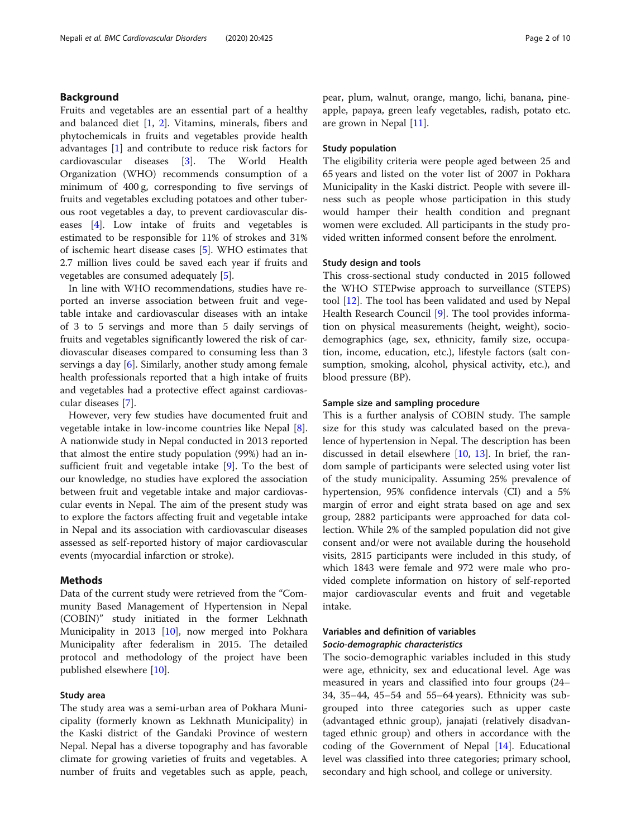# Background

Fruits and vegetables are an essential part of a healthy and balanced diet  $[1, 2]$  $[1, 2]$  $[1, 2]$  $[1, 2]$ . Vitamins, minerals, fibers and phytochemicals in fruits and vegetables provide health advantages [\[1](#page-8-0)] and contribute to reduce risk factors for cardiovascular diseases [\[3](#page-8-0)]. The World Health Organization (WHO) recommends consumption of a minimum of 400 g, corresponding to five servings of fruits and vegetables excluding potatoes and other tuberous root vegetables a day, to prevent cardiovascular diseases [[4\]](#page-8-0). Low intake of fruits and vegetables is estimated to be responsible for 11% of strokes and 31% of ischemic heart disease cases [[5\]](#page-8-0). WHO estimates that 2.7 million lives could be saved each year if fruits and vegetables are consumed adequately [[5\]](#page-8-0).

In line with WHO recommendations, studies have reported an inverse association between fruit and vegetable intake and cardiovascular diseases with an intake of 3 to 5 servings and more than 5 daily servings of fruits and vegetables significantly lowered the risk of cardiovascular diseases compared to consuming less than 3 servings a day [[6\]](#page-8-0). Similarly, another study among female health professionals reported that a high intake of fruits and vegetables had a protective effect against cardiovascular diseases [\[7](#page-8-0)].

However, very few studies have documented fruit and vegetable intake in low-income countries like Nepal [\[8](#page-8-0)]. A nationwide study in Nepal conducted in 2013 reported that almost the entire study population (99%) had an insufficient fruit and vegetable intake [[9\]](#page-8-0). To the best of our knowledge, no studies have explored the association between fruit and vegetable intake and major cardiovascular events in Nepal. The aim of the present study was to explore the factors affecting fruit and vegetable intake in Nepal and its association with cardiovascular diseases assessed as self-reported history of major cardiovascular events (myocardial infarction or stroke).

# **Methods**

Data of the current study were retrieved from the "Community Based Management of Hypertension in Nepal (COBIN)" study initiated in the former Lekhnath Municipality in 2013 [[10\]](#page-8-0), now merged into Pokhara Municipality after federalism in 2015. The detailed protocol and methodology of the project have been published elsewhere [[10\]](#page-8-0).

#### Study area

The study area was a semi-urban area of Pokhara Municipality (formerly known as Lekhnath Municipality) in the Kaski district of the Gandaki Province of western Nepal. Nepal has a diverse topography and has favorable climate for growing varieties of fruits and vegetables. A number of fruits and vegetables such as apple, peach, pear, plum, walnut, orange, mango, lichi, banana, pineapple, papaya, green leafy vegetables, radish, potato etc. are grown in Nepal [[11\]](#page-8-0).

#### Study population

The eligibility criteria were people aged between 25 and 65 years and listed on the voter list of 2007 in Pokhara Municipality in the Kaski district. People with severe illness such as people whose participation in this study would hamper their health condition and pregnant women were excluded. All participants in the study provided written informed consent before the enrolment.

# Study design and tools

This cross-sectional study conducted in 2015 followed the WHO STEPwise approach to surveillance (STEPS) tool [[12\]](#page-8-0). The tool has been validated and used by Nepal Health Research Council [\[9](#page-8-0)]. The tool provides information on physical measurements (height, weight), sociodemographics (age, sex, ethnicity, family size, occupation, income, education, etc.), lifestyle factors (salt consumption, smoking, alcohol, physical activity, etc.), and blood pressure (BP).

# Sample size and sampling procedure

This is a further analysis of COBIN study. The sample size for this study was calculated based on the prevalence of hypertension in Nepal. The description has been discussed in detail elsewhere [\[10](#page-8-0), [13\]](#page-8-0). In brief, the random sample of participants were selected using voter list of the study municipality. Assuming 25% prevalence of hypertension, 95% confidence intervals (CI) and a 5% margin of error and eight strata based on age and sex group, 2882 participants were approached for data collection. While 2% of the sampled population did not give consent and/or were not available during the household visits, 2815 participants were included in this study, of which 1843 were female and 972 were male who provided complete information on history of self-reported major cardiovascular events and fruit and vegetable intake.

# Variables and definition of variables Socio-demographic characteristics

The socio-demographic variables included in this study were age, ethnicity, sex and educational level. Age was measured in years and classified into four groups (24– 34, 35–44, 45–54 and 55–64 years). Ethnicity was subgrouped into three categories such as upper caste (advantaged ethnic group), janajati (relatively disadvantaged ethnic group) and others in accordance with the coding of the Government of Nepal [\[14](#page-8-0)]. Educational level was classified into three categories; primary school, secondary and high school, and college or university.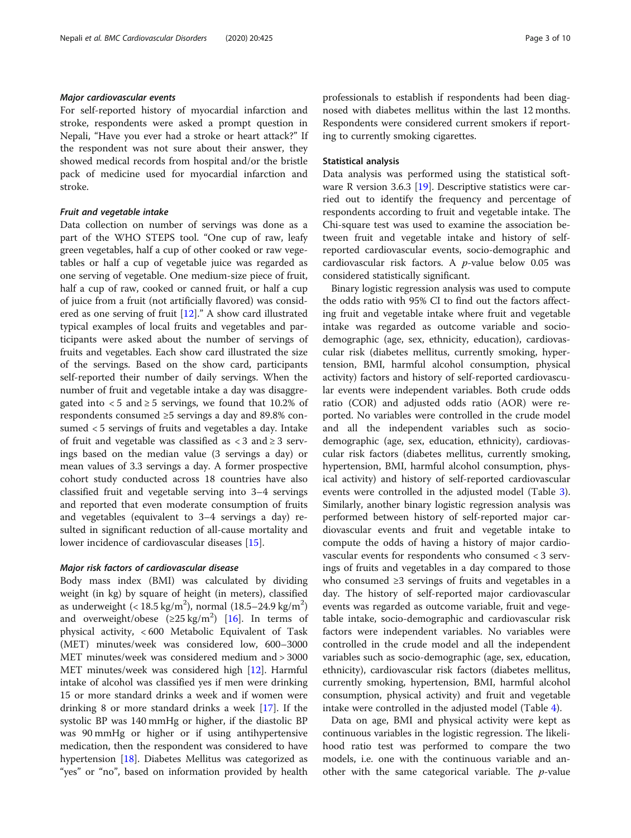#### Major cardiovascular events

For self-reported history of myocardial infarction and stroke, respondents were asked a prompt question in Nepali, "Have you ever had a stroke or heart attack?" If the respondent was not sure about their answer, they showed medical records from hospital and/or the bristle pack of medicine used for myocardial infarction and stroke.

# Fruit and vegetable intake

Data collection on number of servings was done as a part of the WHO STEPS tool. "One cup of raw, leafy green vegetables, half a cup of other cooked or raw vegetables or half a cup of vegetable juice was regarded as one serving of vegetable. One medium-size piece of fruit, half a cup of raw, cooked or canned fruit, or half a cup of juice from a fruit (not artificially flavored) was considered as one serving of fruit [\[12](#page-8-0)]." A show card illustrated typical examples of local fruits and vegetables and participants were asked about the number of servings of fruits and vegetables. Each show card illustrated the size of the servings. Based on the show card, participants self-reported their number of daily servings. When the number of fruit and vegetable intake a day was disaggregated into  $<$  5 and  $\ge$  5 servings, we found that 10.2% of respondents consumed ≥5 servings a day and 89.8% consumed < 5 servings of fruits and vegetables a day. Intake of fruit and vegetable was classified as  $\langle 3 \rangle$  and  $\geq 3$  servings based on the median value (3 servings a day) or mean values of 3.3 servings a day. A former prospective cohort study conducted across 18 countries have also classified fruit and vegetable serving into 3–4 servings and reported that even moderate consumption of fruits and vegetables (equivalent to 3–4 servings a day) resulted in significant reduction of all-cause mortality and lower incidence of cardiovascular diseases [[15](#page-8-0)].

#### Major risk factors of cardiovascular disease

Body mass index (BMI) was calculated by dividing weight (in kg) by square of height (in meters), classified as underweight (<  $18.5 \text{ kg/m}^2$ ), normal (18.5–24.9 kg/m<sup>2</sup>) and overweight/obese  $(\geq 25 \text{ kg/m}^2)$  [\[16\]](#page-8-0). In terms of physical activity, < 600 Metabolic Equivalent of Task (MET) minutes/week was considered low, 600–3000 MET minutes/week was considered medium and > 3000 MET minutes/week was considered high [[12](#page-8-0)]. Harmful intake of alcohol was classified yes if men were drinking 15 or more standard drinks a week and if women were drinking 8 or more standard drinks a week [\[17\]](#page-8-0). If the systolic BP was 140 mmHg or higher, if the diastolic BP was 90 mmHg or higher or if using antihypertensive medication, then the respondent was considered to have hypertension [[18\]](#page-8-0). Diabetes Mellitus was categorized as "yes" or "no", based on information provided by health

professionals to establish if respondents had been diagnosed with diabetes mellitus within the last 12 months. Respondents were considered current smokers if reporting to currently smoking cigarettes.

#### Statistical analysis

Data analysis was performed using the statistical software R version 3.6.3 [[19](#page-8-0)]. Descriptive statistics were carried out to identify the frequency and percentage of respondents according to fruit and vegetable intake. The Chi-square test was used to examine the association between fruit and vegetable intake and history of selfreported cardiovascular events, socio-demographic and cardiovascular risk factors. A  $p$ -value below 0.05 was considered statistically significant.

Binary logistic regression analysis was used to compute the odds ratio with 95% CI to find out the factors affecting fruit and vegetable intake where fruit and vegetable intake was regarded as outcome variable and sociodemographic (age, sex, ethnicity, education), cardiovascular risk (diabetes mellitus, currently smoking, hypertension, BMI, harmful alcohol consumption, physical activity) factors and history of self-reported cardiovascular events were independent variables. Both crude odds ratio (COR) and adjusted odds ratio (AOR) were reported. No variables were controlled in the crude model and all the independent variables such as sociodemographic (age, sex, education, ethnicity), cardiovascular risk factors (diabetes mellitus, currently smoking, hypertension, BMI, harmful alcohol consumption, physical activity) and history of self-reported cardiovascular events were controlled in the adjusted model (Table [3](#page-5-0)). Similarly, another binary logistic regression analysis was performed between history of self-reported major cardiovascular events and fruit and vegetable intake to compute the odds of having a history of major cardiovascular events for respondents who consumed < 3 servings of fruits and vegetables in a day compared to those who consumed ≥3 servings of fruits and vegetables in a day. The history of self-reported major cardiovascular events was regarded as outcome variable, fruit and vegetable intake, socio-demographic and cardiovascular risk factors were independent variables. No variables were controlled in the crude model and all the independent variables such as socio-demographic (age, sex, education, ethnicity), cardiovascular risk factors (diabetes mellitus, currently smoking, hypertension, BMI, harmful alcohol consumption, physical activity) and fruit and vegetable intake were controlled in the adjusted model (Table [4](#page-6-0)).

Data on age, BMI and physical activity were kept as continuous variables in the logistic regression. The likelihood ratio test was performed to compare the two models, i.e. one with the continuous variable and another with the same categorical variable. The  $p$ -value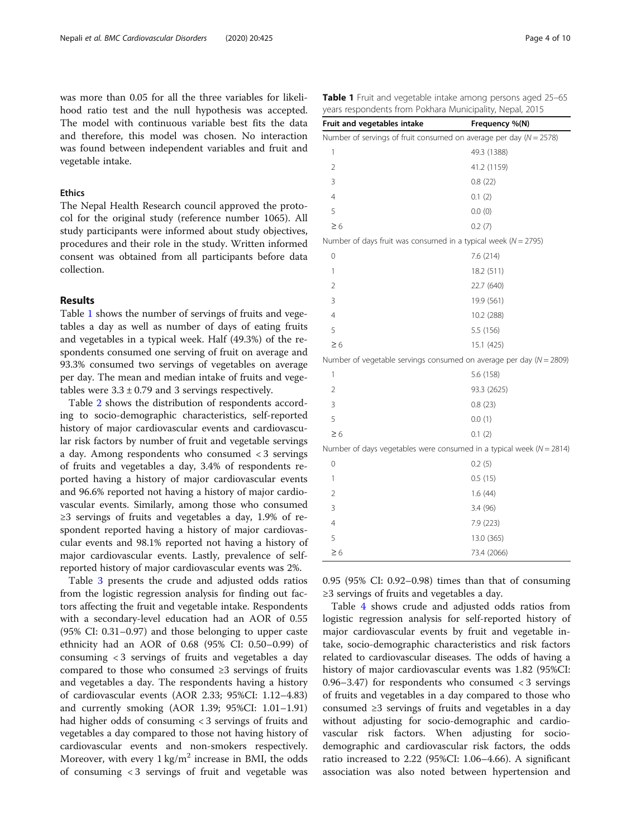was more than 0.05 for all the three variables for likelihood ratio test and the null hypothesis was accepted. The model with continuous variable best fits the data and therefore, this model was chosen. No interaction was found between independent variables and fruit and vegetable intake.

# Ethics

The Nepal Health Research council approved the protocol for the original study (reference number 1065). All study participants were informed about study objectives, procedures and their role in the study. Written informed consent was obtained from all participants before data collection.

# Results

Table 1 shows the number of servings of fruits and vegetables a day as well as number of days of eating fruits and vegetables in a typical week. Half (49.3%) of the respondents consumed one serving of fruit on average and 93.3% consumed two servings of vegetables on average per day. The mean and median intake of fruits and vegetables were  $3.3 \pm 0.79$  and 3 servings respectively.

Table [2](#page-4-0) shows the distribution of respondents according to socio-demographic characteristics, self-reported history of major cardiovascular events and cardiovascular risk factors by number of fruit and vegetable servings a day. Among respondents who consumed < 3 servings of fruits and vegetables a day, 3.4% of respondents reported having a history of major cardiovascular events and 96.6% reported not having a history of major cardiovascular events. Similarly, among those who consumed ≥3 servings of fruits and vegetables a day, 1.9% of respondent reported having a history of major cardiovascular events and 98.1% reported not having a history of major cardiovascular events. Lastly, prevalence of selfreported history of major cardiovascular events was 2%.

Table [3](#page-5-0) presents the crude and adjusted odds ratios from the logistic regression analysis for finding out factors affecting the fruit and vegetable intake. Respondents with a secondary-level education had an AOR of 0.55 (95% CI: 0.31–0.97) and those belonging to upper caste ethnicity had an AOR of 0.68 (95% CI: 0.50–0.99) of consuming < 3 servings of fruits and vegetables a day compared to those who consumed ≥3 servings of fruits and vegetables a day. The respondents having a history of cardiovascular events (AOR 2.33; 95%CI: 1.12–4.83) and currently smoking (AOR 1.39; 95%CI: 1.01–1.91) had higher odds of consuming < 3 servings of fruits and vegetables a day compared to those not having history of cardiovascular events and non-smokers respectively. Moreover, with every  $1 \text{ kg/m}^2$  increase in BMI, the odds of consuming < 3 servings of fruit and vegetable was

| <b>Table 1</b> Fruit and vegetable intake among persons aged 25–65 |
|--------------------------------------------------------------------|
| years respondents from Pokhara Municipality, Nepal, 2015           |

| Fruit and vegetables intake                                              | Frequency %(N) |
|--------------------------------------------------------------------------|----------------|
| Number of servings of fruit consumed on average per day ( $N = 2578$ )   |                |
| 1                                                                        | 49.3 (1388)    |
| $\overline{2}$                                                           | 41.2 (1159)    |
| 3                                                                        | 0.8(22)        |
| 4                                                                        | 0.1(2)         |
| 5                                                                        | 0.0(0)         |
| $\geq 6$                                                                 | 0.2(7)         |
| Number of days fruit was consumed in a typical week ( $N = 2795$ )       |                |
| 0                                                                        | 7.6(214)       |
| 1                                                                        | 18.2 (511)     |
| 2                                                                        | 22.7 (640)     |
| 3                                                                        | 19.9 (561)     |
| 4                                                                        | 10.2 (288)     |
| 5                                                                        | 5.5 (156)      |
| $\geq 6$                                                                 | 15.1 (425)     |
| Number of vegetable servings consumed on average per day ( $N = 2809$ )  |                |
| 1                                                                        | 5.6 (158)      |
| 2                                                                        | 93.3 (2625)    |
| 3                                                                        | 0.8(23)        |
| 5                                                                        | 0.0(1)         |
| $\geq 6$                                                                 | 0.1(2)         |
| Number of days vegetables were consumed in a typical week ( $N = 2814$ ) |                |
| 0                                                                        | 0.2(5)         |
| 1                                                                        | 0.5(15)        |
| 2                                                                        | 1.6(44)        |
| 3                                                                        | 3.4 (96)       |
| 4                                                                        | 7.9 (223)      |
| 5                                                                        | 13.0 (365)     |
| $\geq 6$                                                                 | 73.4 (2066)    |

0.95 (95% CI: 0.92–0.98) times than that of consuming ≥3 servings of fruits and vegetables a day.

Table [4](#page-6-0) shows crude and adjusted odds ratios from logistic regression analysis for self-reported history of major cardiovascular events by fruit and vegetable intake, socio-demographic characteristics and risk factors related to cardiovascular diseases. The odds of having a history of major cardiovascular events was 1.82 (95%CI: 0.96–3.47) for respondents who consumed  $\langle$  3 servings of fruits and vegetables in a day compared to those who consumed ≥3 servings of fruits and vegetables in a day without adjusting for socio-demographic and cardiovascular risk factors. When adjusting for sociodemographic and cardiovascular risk factors, the odds ratio increased to 2.22 (95%CI: 1.06–4.66). A significant association was also noted between hypertension and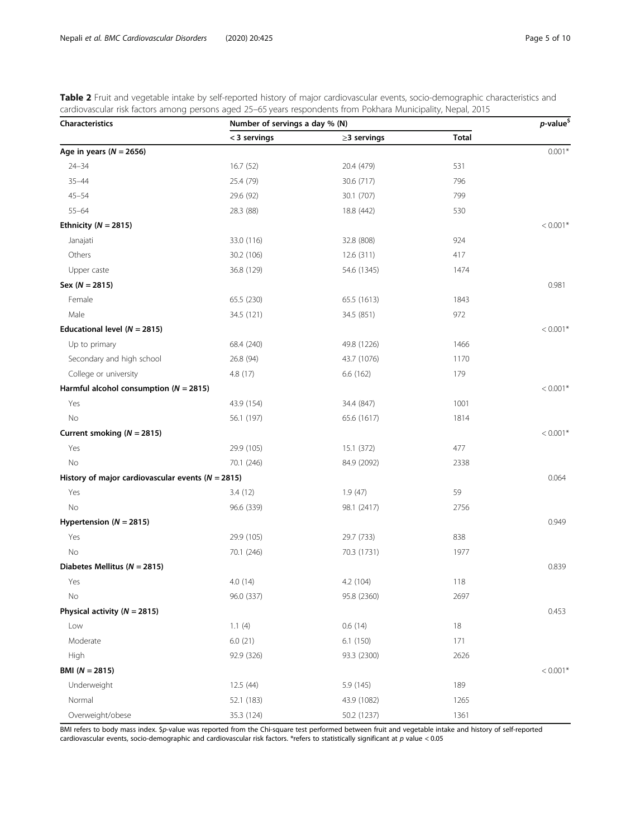<span id="page-4-0"></span>

| Table 2 Fruit and vegetable intake by self-reported history of major cardiovascular events, socio-demographic characteristics and |
|-----------------------------------------------------------------------------------------------------------------------------------|
|                                                                                                                                   |
| cardiovascular risk factors among persons aged 25–65 years respondents from Pokhara Municipality, Nepal, 2015                     |

| Characteristics                                       | Number of servings a day % (N) | $p$ -value <sup>\$</sup> |              |            |
|-------------------------------------------------------|--------------------------------|--------------------------|--------------|------------|
|                                                       | < 3 servings                   | $\geq$ 3 servings        | <b>Total</b> |            |
| Age in years ( $N = 2656$ )                           |                                |                          |              | $0.001*$   |
| $24 - 34$                                             | 16.7(52)                       | 20.4 (479)               | 531          |            |
| $35 - 44$                                             | 25.4 (79)                      | 30.6 (717)               | 796          |            |
| $45 - 54$                                             | 29.6 (92)                      | 30.1 (707)               | 799          |            |
| $55 - 64$                                             | 28.3 (88)                      | 18.8 (442)               | 530          |            |
| Ethnicity ( $N = 2815$ )                              |                                |                          |              | $< 0.001*$ |
| Janajati                                              | 33.0 (116)                     | 32.8 (808)               | 924          |            |
| Others                                                | 30.2 (106)                     | 12.6(311)                | 417          |            |
| Upper caste                                           | 36.8 (129)                     | 54.6 (1345)              | 1474         |            |
| $Sex (N = 2815)$                                      |                                |                          |              | 0.981      |
| Female                                                | 65.5 (230)                     | 65.5 (1613)              | 1843         |            |
| Male                                                  | 34.5 (121)                     | 34.5 (851)               | 972          |            |
| Educational level ( $N = 2815$ )                      |                                |                          |              | $< 0.001*$ |
| Up to primary                                         | 68.4 (240)                     | 49.8 (1226)              | 1466         |            |
| Secondary and high school                             | 26.8 (94)                      | 43.7 (1076)              | 1170         |            |
| College or university                                 | 4.8(17)                        | 6.6(162)                 | 179          |            |
| Harmful alcohol consumption ( $N = 2815$ )            |                                |                          |              | $< 0.001*$ |
| Yes                                                   | 43.9 (154)                     | 34.4 (847)               | 1001         |            |
| No                                                    | 56.1 (197)                     | 65.6 (1617)              | 1814         |            |
| Current smoking ( $N = 2815$ )                        |                                |                          |              | $< 0.001*$ |
| Yes                                                   | 29.9 (105)                     | 15.1 (372)               | 477          |            |
| No                                                    | 70.1 (246)                     | 84.9 (2092)              | 2338         |            |
| History of major cardiovascular events ( $N = 2815$ ) |                                |                          |              | 0.064      |
| Yes                                                   | 3.4(12)                        | 1.9(47)                  | 59           |            |
| No                                                    | 96.6 (339)                     | 98.1 (2417)              | 2756         |            |
| Hypertension ( $N = 2815$ )                           |                                |                          |              | 0.949      |
| Yes                                                   | 29.9 (105)                     | 29.7 (733)               | 838          |            |
| No                                                    | 70.1 (246)                     | 70.3 (1731)              | 1977         |            |
| Diabetes Mellitus ( $N = 2815$ )                      |                                |                          |              | 0.839      |
| Yes                                                   | 4.0(14)                        | 4.2 (104)                | 118          |            |
| No                                                    | 96.0 (337)                     | 95.8 (2360)              | 2697         |            |
| Physical activity ( $N = 2815$ )                      |                                |                          |              | 0.453      |
| Low                                                   | 1.1(4)                         | 0.6(14)                  | 18           |            |
| Moderate                                              | 6.0(21)                        | 6.1(150)                 | 171          |            |
| High                                                  | 92.9 (326)                     | 93.3 (2300)              | 2626         |            |
| <b>BMI</b> ( $N = 2815$ )                             |                                |                          |              | $< 0.001*$ |
| Underweight                                           | 12.5(44)                       | 5.9 (145)                | 189          |            |
| Normal                                                | 52.1 (183)                     | 43.9 (1082)              | 1265         |            |
| Overweight/obese                                      | 35.3 (124)                     | 50.2 (1237)              | 1361         |            |

BMI refers to body mass index. \$p-value was reported from the Chi-square test performed between fruit and vegetable intake and history of self-reported cardiovascular events, socio-demographic and cardiovascular risk factors. \*refers to statistically significant at p value < 0.05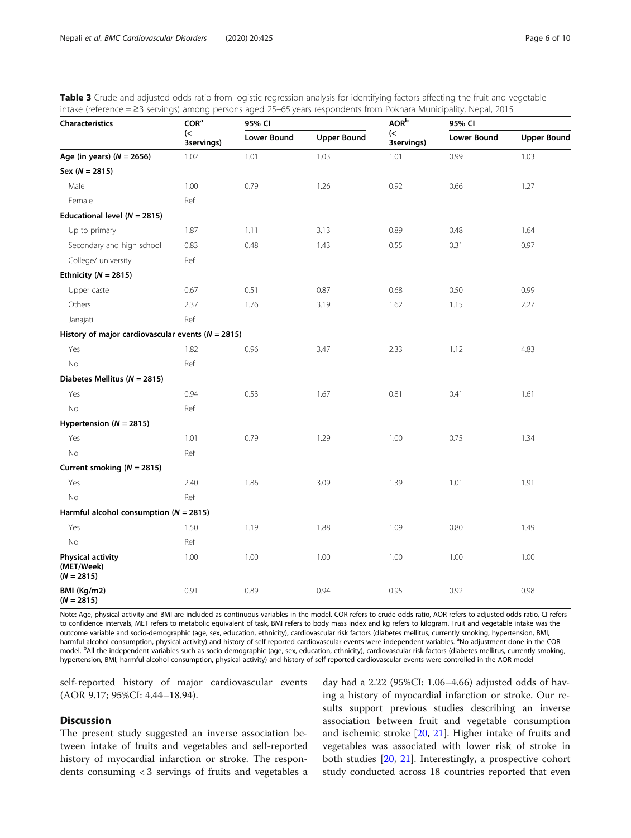| Characteristics                                        | COR <sup>a</sup> | 95% CI             |                    | <b>AOR</b> b                | 95% CI             |                    |
|--------------------------------------------------------|------------------|--------------------|--------------------|-----------------------------|--------------------|--------------------|
|                                                        | (<<br>3servings) | <b>Lower Bound</b> | <b>Upper Bound</b> | $\mathcal{K}$<br>3servings) | <b>Lower Bound</b> | <b>Upper Bound</b> |
| Age (in years) ( $N = 2656$ )                          | 1.02             | 1.01               | 1.03               | 1.01                        | 0.99               | 1.03               |
| $Sex (N = 2815)$                                       |                  |                    |                    |                             |                    |                    |
| Male                                                   | 1.00             | 0.79               | 1.26               | 0.92                        | 0.66               | 1.27               |
| Female                                                 | Ref              |                    |                    |                             |                    |                    |
| Educational level ( $N = 2815$ )                       |                  |                    |                    |                             |                    |                    |
| Up to primary                                          | 1.87             | 1.11               | 3.13               | 0.89                        | 0.48               | 1.64               |
| Secondary and high school                              | 0.83             | 0.48               | 1.43               | 0.55                        | 0.31               | 0.97               |
| College/ university                                    | Ref              |                    |                    |                             |                    |                    |
| Ethnicity ( $N = 2815$ )                               |                  |                    |                    |                             |                    |                    |
| Upper caste                                            | 0.67             | 0.51               | 0.87               | 0.68                        | 0.50               | 0.99               |
| Others                                                 | 2.37             | 1.76               | 3.19               | 1.62                        | 1.15               | 2.27               |
| Janajati                                               | Ref              |                    |                    |                             |                    |                    |
| History of major cardiovascular events ( $N = 2815$ )  |                  |                    |                    |                             |                    |                    |
| Yes                                                    | 1.82             | 0.96               | 3.47               | 2.33                        | 1.12               | 4.83               |
| <b>No</b>                                              | Ref              |                    |                    |                             |                    |                    |
| Diabetes Mellitus ( $N = 2815$ )                       |                  |                    |                    |                             |                    |                    |
| Yes                                                    | 0.94             | 0.53               | 1.67               | 0.81                        | 0.41               | 1.61               |
| No                                                     | Ref              |                    |                    |                             |                    |                    |
| Hypertension ( $N = 2815$ )                            |                  |                    |                    |                             |                    |                    |
| Yes                                                    | 1.01             | 0.79               | 1.29               | 1.00                        | 0.75               | 1.34               |
| No                                                     | Ref              |                    |                    |                             |                    |                    |
| Current smoking ( $N = 2815$ )                         |                  |                    |                    |                             |                    |                    |
| Yes                                                    | 2.40             | 1.86               | 3.09               | 1.39                        | 1.01               | 1.91               |
| No                                                     | Ref              |                    |                    |                             |                    |                    |
| Harmful alcohol consumption ( $N = 2815$ )             |                  |                    |                    |                             |                    |                    |
| Yes                                                    | 1.50             | 1.19               | 1.88               | 1.09                        | 0.80               | 1.49               |
| No                                                     | Ref              |                    |                    |                             |                    |                    |
| <b>Physical activity</b><br>(MET/Week)<br>$(N = 2815)$ | 1.00             | 1.00               | 1.00               | 1.00                        | 1.00               | 1.00               |
| BMI (Kg/m2)<br>$(N = 2815)$                            | 0.91             | 0.89               | 0.94               | 0.95                        | 0.92               | 0.98               |

<span id="page-5-0"></span>

| Table 3 Crude and adjusted odds ratio from logistic regression analysis for identifying factors affecting the fruit and vegetable |  |  |
|-----------------------------------------------------------------------------------------------------------------------------------|--|--|
| intake (reference = ≥3 servings) among persons aged 25–65 years respondents from Pokhara Municipality, Nepal, 2015                |  |  |

Note: Age, physical activity and BMI are included as continuous variables in the model. COR refers to crude odds ratio, AOR refers to adjusted odds ratio, CI refers to confidence intervals, MET refers to metabolic equivalent of task, BMI refers to body mass index and kg refers to kilogram. Fruit and vegetable intake was the outcome variable and socio-demographic (age, sex, education, ethnicity), cardiovascular risk factors (diabetes mellitus, currently smoking, hypertension, BMI, harmful alcohol consumption, physical activity) and history of self-reported cardiovascular events were independent variables. <sup>a</sup>No adjustment done in the COR model. <sup>b</sup>All the independent variables such as socio-demographic (age, sex, education, ethnicity), cardiovascular risk factors (diabetes mellitus, currently smoking, hypertension, BMI, harmful alcohol consumption, physical activity) and history of self-reported cardiovascular events were controlled in the AOR model

self-reported history of major cardiovascular events (AOR 9.17; 95%CI: 4.44–18.94).

# **Discussion**

The present study suggested an inverse association between intake of fruits and vegetables and self-reported history of myocardial infarction or stroke. The respondents consuming < 3 servings of fruits and vegetables a

day had a 2.22 (95%CI: 1.06–4.66) adjusted odds of having a history of myocardial infarction or stroke. Our results support previous studies describing an inverse association between fruit and vegetable consumption and ischemic stroke [[20,](#page-8-0) [21\]](#page-8-0). Higher intake of fruits and vegetables was associated with lower risk of stroke in both studies [\[20](#page-8-0), [21\]](#page-8-0). Interestingly, a prospective cohort study conducted across 18 countries reported that even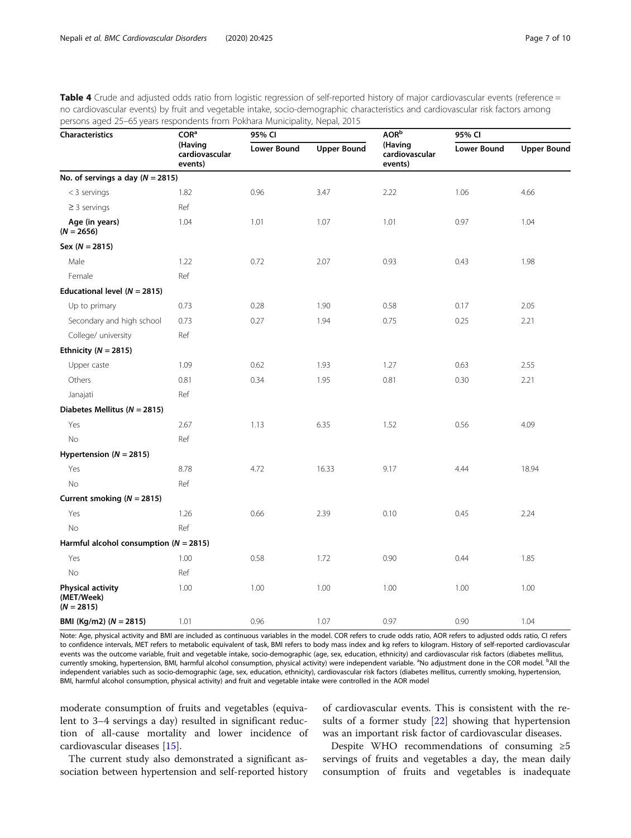<span id="page-6-0"></span>Table 4 Crude and adjusted odds ratio from logistic regression of self-reported history of major cardiovascular events (reference = no cardiovascular events) by fruit and vegetable intake, socio-demographic characteristics and cardiovascular risk factors among persons aged 25–65 years respondents from Pokhara Municipality, Nepal, 2015

| Characteristics                                        | COR <sup>a</sup><br>(Having<br>cardiovascular<br>events) | 95% CI             |                    | <b>AOR</b> b                         | 95% CI      |                    |
|--------------------------------------------------------|----------------------------------------------------------|--------------------|--------------------|--------------------------------------|-------------|--------------------|
|                                                        |                                                          | <b>Lower Bound</b> | <b>Upper Bound</b> | (Having<br>cardiovascular<br>events) | Lower Bound | <b>Upper Bound</b> |
| No. of servings a day ( $N = 2815$ )                   |                                                          |                    |                    |                                      |             |                    |
| $<$ 3 servings                                         | 1.82                                                     | 0.96               | 3.47               | 2.22                                 | 1.06        | 4.66               |
| $\geq$ 3 servings                                      | Ref                                                      |                    |                    |                                      |             |                    |
| Age (in years)<br>$(N = 2656)$                         | 1.04                                                     | 1.01               | 1.07               | 1.01                                 | 0.97        | 1.04               |
| $Sex (N = 2815)$                                       |                                                          |                    |                    |                                      |             |                    |
| Male                                                   | 1.22                                                     | 0.72               | 2.07               | 0.93                                 | 0.43        | 1.98               |
| Female                                                 | Ref                                                      |                    |                    |                                      |             |                    |
| Educational level ( $N = 2815$ )                       |                                                          |                    |                    |                                      |             |                    |
| Up to primary                                          | 0.73                                                     | 0.28               | 1.90               | 0.58                                 | 0.17        | 2.05               |
| Secondary and high school                              | 0.73                                                     | 0.27               | 1.94               | 0.75                                 | 0.25        | 2.21               |
| College/ university                                    | Ref                                                      |                    |                    |                                      |             |                    |
| Ethnicity ( $N = 2815$ )                               |                                                          |                    |                    |                                      |             |                    |
| Upper caste                                            | 1.09                                                     | 0.62               | 1.93               | 1.27                                 | 0.63        | 2.55               |
| Others                                                 | 0.81                                                     | 0.34               | 1.95               | 0.81                                 | 0.30        | 2.21               |
| Janajati                                               | Ref                                                      |                    |                    |                                      |             |                    |
| Diabetes Mellitus ( $N = 2815$ )                       |                                                          |                    |                    |                                      |             |                    |
| Yes                                                    | 2.67                                                     | 1.13               | 6.35               | 1.52                                 | 0.56        | 4.09               |
| No                                                     | Ref                                                      |                    |                    |                                      |             |                    |
| Hypertension ( $N = 2815$ )                            |                                                          |                    |                    |                                      |             |                    |
| Yes                                                    | 8.78                                                     | 4.72               | 16.33              | 9.17                                 | 4.44        | 18.94              |
| No                                                     | Ref                                                      |                    |                    |                                      |             |                    |
| Current smoking ( $N = 2815$ )                         |                                                          |                    |                    |                                      |             |                    |
| Yes                                                    | 1.26                                                     | 0.66               | 2.39               | 0.10                                 | 0.45        | 2.24               |
| No                                                     | Ref                                                      |                    |                    |                                      |             |                    |
| Harmful alcohol consumption ( $N = 2815$ )             |                                                          |                    |                    |                                      |             |                    |
| Yes                                                    | 1.00                                                     | 0.58               | 1.72               | 0.90                                 | 0.44        | 1.85               |
| No                                                     | Ref                                                      |                    |                    |                                      |             |                    |
| <b>Physical activity</b><br>(MET/Week)<br>$(N = 2815)$ | 1.00                                                     | 1.00               | 1.00               | 1.00                                 | 1.00        | 1.00               |
| BMI (Kg/m2) (N = 2815)                                 | 1.01                                                     | 0.96               | 1.07               | 0.97                                 | 0.90        | 1.04               |

Note: Age, physical activity and BMI are included as continuous variables in the model. COR refers to crude odds ratio, AOR refers to adjusted odds ratio, CI refers to confidence intervals, MET refers to metabolic equivalent of task, BMI refers to body mass index and kg refers to kilogram. History of self-reported cardiovascular events was the outcome variable, fruit and vegetable intake, socio-demographic (age, sex, education, ethnicity) and cardiovascular risk factors (diabetes mellitus, currently smoking, hypertension, BMI, harmful alcohol consumption, physical activity) were independent variable. <sup>a</sup>No adjustment done in the COR model. <sup>b</sup>All the independent variables such as socio-demographic (age, sex, education, ethnicity), cardiovascular risk factors (diabetes mellitus, currently smoking, hypertension, BMI, harmful alcohol consumption, physical activity) and fruit and vegetable intake were controlled in the AOR model

moderate consumption of fruits and vegetables (equivalent to 3–4 servings a day) resulted in significant reduction of all-cause mortality and lower incidence of cardiovascular diseases [\[15](#page-8-0)].

of cardiovascular events. This is consistent with the results of a former study [\[22\]](#page-8-0) showing that hypertension was an important risk factor of cardiovascular diseases.

The current study also demonstrated a significant association between hypertension and self-reported history

Despite WHO recommendations of consuming ≥5 servings of fruits and vegetables a day, the mean daily consumption of fruits and vegetables is inadequate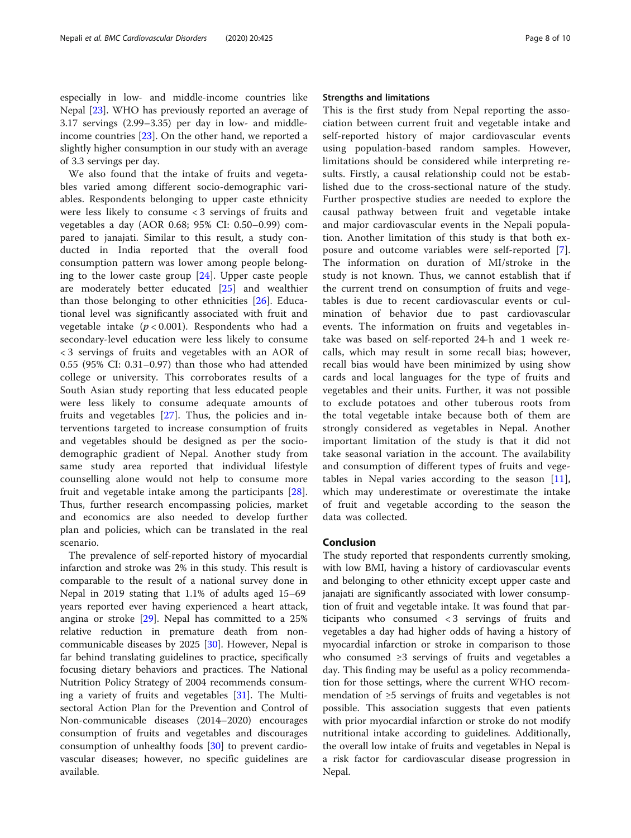We also found that the intake of fruits and vegetables varied among different socio-demographic variables. Respondents belonging to upper caste ethnicity were less likely to consume < 3 servings of fruits and vegetables a day (AOR 0.68; 95% CI: 0.50–0.99) compared to janajati. Similar to this result, a study conducted in India reported that the overall food consumption pattern was lower among people belonging to the lower caste group [\[24](#page-8-0)]. Upper caste people are moderately better educated [[25\]](#page-8-0) and wealthier than those belonging to other ethnicities [[26\]](#page-8-0). Educational level was significantly associated with fruit and vegetable intake ( $p < 0.001$ ). Respondents who had a secondary-level education were less likely to consume < 3 servings of fruits and vegetables with an AOR of 0.55 (95% CI: 0.31–0.97) than those who had attended college or university. This corroborates results of a South Asian study reporting that less educated people were less likely to consume adequate amounts of fruits and vegetables [[27\]](#page-8-0). Thus, the policies and interventions targeted to increase consumption of fruits and vegetables should be designed as per the sociodemographic gradient of Nepal. Another study from same study area reported that individual lifestyle counselling alone would not help to consume more fruit and vegetable intake among the participants [[28](#page-8-0)]. Thus, further research encompassing policies, market and economics are also needed to develop further plan and policies, which can be translated in the real scenario.

The prevalence of self-reported history of myocardial infarction and stroke was 2% in this study. This result is comparable to the result of a national survey done in Nepal in 2019 stating that 1.1% of adults aged 15–69 years reported ever having experienced a heart attack, angina or stroke [\[29\]](#page-8-0). Nepal has committed to a 25% relative reduction in premature death from noncommunicable diseases by 2025 [[30](#page-9-0)]. However, Nepal is far behind translating guidelines to practice, specifically focusing dietary behaviors and practices. The National Nutrition Policy Strategy of 2004 recommends consuming a variety of fruits and vegetables  $[31]$  $[31]$ . The Multisectoral Action Plan for the Prevention and Control of Non-communicable diseases (2014–2020) encourages consumption of fruits and vegetables and discourages consumption of unhealthy foods [[30](#page-9-0)] to prevent cardiovascular diseases; however, no specific guidelines are available.

#### Strengths and limitations

This is the first study from Nepal reporting the association between current fruit and vegetable intake and self-reported history of major cardiovascular events using population-based random samples. However, limitations should be considered while interpreting results. Firstly, a causal relationship could not be established due to the cross-sectional nature of the study. Further prospective studies are needed to explore the causal pathway between fruit and vegetable intake and major cardiovascular events in the Nepali population. Another limitation of this study is that both exposure and outcome variables were self-reported [\[7](#page-8-0)]. The information on duration of MI/stroke in the study is not known. Thus, we cannot establish that if the current trend on consumption of fruits and vegetables is due to recent cardiovascular events or culmination of behavior due to past cardiovascular events. The information on fruits and vegetables intake was based on self-reported 24-h and 1 week recalls, which may result in some recall bias; however, recall bias would have been minimized by using show cards and local languages for the type of fruits and vegetables and their units. Further, it was not possible to exclude potatoes and other tuberous roots from the total vegetable intake because both of them are strongly considered as vegetables in Nepal. Another important limitation of the study is that it did not take seasonal variation in the account. The availability and consumption of different types of fruits and vegetables in Nepal varies according to the season [\[11](#page-8-0)], which may underestimate or overestimate the intake of fruit and vegetable according to the season the data was collected.

# Conclusion

The study reported that respondents currently smoking, with low BMI, having a history of cardiovascular events and belonging to other ethnicity except upper caste and janajati are significantly associated with lower consumption of fruit and vegetable intake. It was found that participants who consumed < 3 servings of fruits and vegetables a day had higher odds of having a history of myocardial infarction or stroke in comparison to those who consumed ≥3 servings of fruits and vegetables a day. This finding may be useful as a policy recommendation for those settings, where the current WHO recommendation of ≥5 servings of fruits and vegetables is not possible. This association suggests that even patients with prior myocardial infarction or stroke do not modify nutritional intake according to guidelines. Additionally, the overall low intake of fruits and vegetables in Nepal is a risk factor for cardiovascular disease progression in Nepal.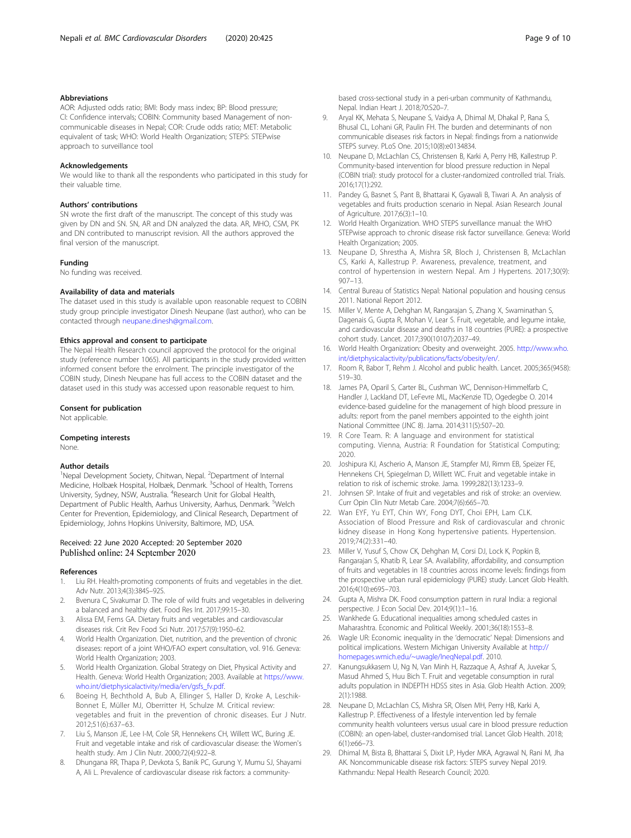#### <span id="page-8-0"></span>Abbreviations

AOR: Adjusted odds ratio; BMI: Body mass index; BP: Blood pressure; CI: Confidence intervals; COBIN: Community based Management of noncommunicable diseases in Nepal; COR: Crude odds ratio; MET: Metabolic equivalent of task; WHO: World Health Organization; STEPS: STEPwise approach to surveillance tool

#### Acknowledgements

We would like to thank all the respondents who participated in this study for their valuable time.

#### Authors' contributions

SN wrote the first draft of the manuscript. The concept of this study was given by DN and SN. SN, AR and DN analyzed the data. AR, MHO, CSM, PK and DN contributed to manuscript revision. All the authors approved the final version of the manuscript.

#### Funding

No funding was received.

#### Availability of data and materials

The dataset used in this study is available upon reasonable request to COBIN study group principle investigator Dinesh Neupane (last author), who can be contacted through [neupane.dinesh@gmail.com](mailto:neupane.dinesh@gmail.com).

#### Ethics approval and consent to participate

The Nepal Health Research council approved the protocol for the original study (reference number 1065). All participants in the study provided written informed consent before the enrolment. The principle investigator of the COBIN study, Dinesh Neupane has full access to the COBIN dataset and the dataset used in this study was accessed upon reasonable request to him.

#### Consent for publication

Not applicable.

#### Competing interests

None.

#### Author details

<sup>1</sup>Nepal Development Society, Chitwan, Nepal. <sup>2</sup>Department of Internal Medicine, Holbæk Hospital, Holbæk, Denmark. <sup>3</sup>School of Health, Torrens University, Sydney, NSW, Australia. <sup>4</sup>Research Unit for Global Health, Department of Public Health, Aarhus University, Aarhus, Denmark. <sup>5</sup>Welch Center for Prevention, Epidemiology, and Clinical Research, Department of Epidemiology, Johns Hopkins University, Baltimore, MD, USA.

# Received: 22 June 2020 Accepted: 20 September 2020 Published online: 24 September 2020

#### References

- 1. Liu RH. Health-promoting components of fruits and vegetables in the diet. Adv Nutr. 2013;4(3):384S–92S.
- 2. Bvenura C, Sivakumar D. The role of wild fruits and vegetables in delivering a balanced and healthy diet. Food Res Int. 2017;99:15–30.
- 3. Alissa EM, Ferns GA. Dietary fruits and vegetables and cardiovascular diseases risk. Crit Rev Food Sci Nutr. 2017;57(9):1950–62.
- 4. World Health Organization. Diet, nutrition, and the prevention of chronic diseases: report of a joint WHO/FAO expert consultation, vol. 916. Geneva: World Health Organization; 2003.
- 5. World Health Organization. Global Strategy on Diet, Physical Activity and Health. Geneva: World Health Organization; 2003. Available at [https://www.](https://www.who.int/dietphysicalactivity/media/en/gsfs_fv.pdf) [who.int/dietphysicalactivity/media/en/gsfs\\_fv.pdf](https://www.who.int/dietphysicalactivity/media/en/gsfs_fv.pdf).
- 6. Boeing H, Bechthold A, Bub A, Ellinger S, Haller D, Kroke A, Leschik-Bonnet E, Müller MJ, Oberritter H, Schulze M. Critical review: vegetables and fruit in the prevention of chronic diseases. Eur J Nutr. 2012;51(6):637–63.
- 7. Liu S, Manson JE, Lee I-M, Cole SR, Hennekens CH, Willett WC, Buring JE. Fruit and vegetable intake and risk of cardiovascular disease: the Women's health study. Am J Clin Nutr. 2000;72(4):922–8.
- 8. Dhungana RR, Thapa P, Devkota S, Banik PC, Gurung Y, Mumu SJ, Shayami A, Ali L. Prevalence of cardiovascular disease risk factors: a community-

based cross-sectional study in a peri-urban community of Kathmandu, Nepal. Indian Heart J. 2018;70:S20–7.

- 9. Aryal KK, Mehata S, Neupane S, Vaidya A, Dhimal M, Dhakal P, Rana S, Bhusal CL, Lohani GR, Paulin FH. The burden and determinants of non communicable diseases risk factors in Nepal: findings from a nationwide STEPS survey. PLoS One. 2015;10(8):e0134834.
- 10. Neupane D, McLachlan CS, Christensen B, Karki A, Perry HB, Kallestrup P. Community-based intervention for blood pressure reduction in Nepal (COBIN trial): study protocol for a cluster-randomized controlled trial. Trials. 2016;17(1):292.
- 11. Pandey G, Basnet S, Pant B, Bhattarai K, Gyawali B, Tiwari A. An analysis of vegetables and fruits production scenario in Nepal. Asian Research Jounal of Agriculture. 2017;6(3):1–10.
- 12. World Health Organization. WHO STEPS surveillance manual: the WHO STEPwise approach to chronic disease risk factor surveillance. Geneva: World Health Organization; 2005.
- 13. Neupane D, Shrestha A, Mishra SR, Bloch J, Christensen B, McLachlan CS, Karki A, Kallestrup P. Awareness, prevalence, treatment, and control of hypertension in western Nepal. Am J Hypertens. 2017;30(9): 907–13.
- 14. Central Bureau of Statistics Nepal: National population and housing census 2011. National Report 2012.
- 15. Miller V, Mente A, Dehghan M, Rangarajan S, Zhang X, Swaminathan S, Dagenais G, Gupta R, Mohan V, Lear S. Fruit, vegetable, and legume intake, and cardiovascular disease and deaths in 18 countries (PURE): a prospective cohort study. Lancet. 2017;390(10107):2037–49.
- 16. World Health Organization: Obesity and overweight. 2005. [http://www.who.](http://www.who.int/dietphysicalactivity/publications/facts/obesity/en/) [int/dietphysicalactivity/publications/facts/obesity/en/](http://www.who.int/dietphysicalactivity/publications/facts/obesity/en/).
- 17. Room R, Babor T, Rehm J. Alcohol and public health. Lancet. 2005;365(9458): 519–30.
- 18. James PA, Oparil S, Carter BL, Cushman WC, Dennison-Himmelfarb C, Handler J, Lackland DT, LeFevre ML, MacKenzie TD, Ogedegbe O. 2014 evidence-based guideline for the management of high blood pressure in adults: report from the panel members appointed to the eighth joint National Committee (JNC 8). Jama. 2014;311(5):507–20.
- 19. R Core Team. R: A language and environment for statistical computing. Vienna, Austria: R Foundation for Statistical Computing; 2020.
- 20. Joshipura KJ, Ascherio A, Manson JE, Stampfer MJ, Rimm EB, Speizer FE, Hennekens CH, Spiegelman D, Willett WC. Fruit and vegetable intake in relation to risk of ischemic stroke. Jama. 1999;282(13):1233–9.
- 21. Johnsen SP. Intake of fruit and vegetables and risk of stroke: an overview. Curr Opin Clin Nutr Metab Care. 2004;7(6):665–70.
- 22. Wan EYF, Yu EYT, Chin WY, Fong DYT, Choi EPH, Lam CLK. Association of Blood Pressure and Risk of cardiovascular and chronic kidney disease in Hong Kong hypertensive patients. Hypertension. 2019;74(2):331–40.
- 23. Miller V, Yusuf S, Chow CK, Dehghan M, Corsi DJ, Lock K, Popkin B, Rangarajan S, Khatib R, Lear SA. Availability, affordability, and consumption of fruits and vegetables in 18 countries across income levels: findings from the prospective urban rural epidemiology (PURE) study. Lancet Glob Health. 2016;4(10):e695–703.
- 24. Gupta A, Mishra DK. Food consumption pattern in rural India: a regional perspective. J Econ Social Dev. 2014;9(1):1–16.
- 25. Wankhede G. Educational inequalities among scheduled castes in Maharashtra. Economic and Political Weekly. 2001;36(18):1553–8.
- 26. Wagle UR: Economic inequality in the 'democratic' Nepal: Dimensions and political implications. Western Michigan University Available at [http://](http://homepages.wmich.edu/~uwagle/IneqNepal.pdf) [homepages.wmich.edu/~uwagle/IneqNepal.pdf.](http://homepages.wmich.edu/~uwagle/IneqNepal.pdf) 2010.
- 27. Kanungsukkasem U, Ng N, Van Minh H, Razzaque A, Ashraf A, Juvekar S, Masud Ahmed S, Huu Bich T. Fruit and vegetable consumption in rural adults population in INDEPTH HDSS sites in Asia. Glob Health Action. 2009; 2(1):1988.
- 28. Neupane D, McLachlan CS, Mishra SR, Olsen MH, Perry HB, Karki A, Kallestrup P. Effectiveness of a lifestyle intervention led by female community health volunteers versus usual care in blood pressure reduction (COBIN): an open-label, cluster-randomised trial. Lancet Glob Health. 2018; 6(1):e66–73.
- 29. Dhimal M, Bista B, Bhattarai S, Dixit LP, Hyder MKA, Agrawal N, Rani M, Jha AK. Noncommunicable disease risk factors: STEPS survey Nepal 2019. Kathmandu: Nepal Health Research Council; 2020.